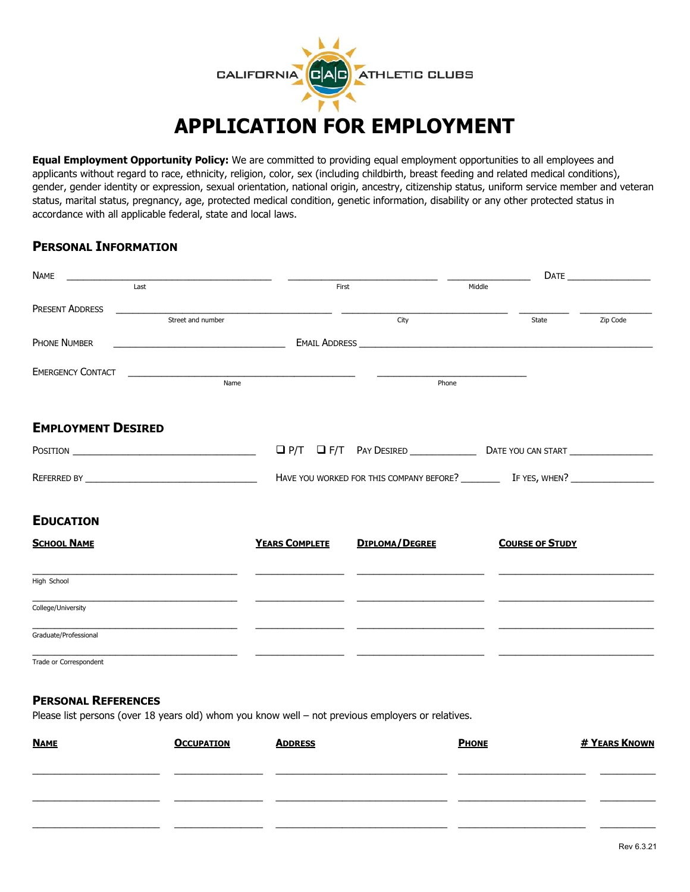

**Equal Employment Opportunity Policy:** We are committed to providing equal employment opportunities to all employees and applicants without regard to race, ethnicity, religion, color, sex (including childbirth, breast feeding and related medical conditions), gender, gender identity or expression, sexual orientation, national origin, ancestry, citizenship status, uniform service member and veteran status, marital status, pregnancy, age, protected medical condition, genetic information, disability or any other protected status in accordance with all applicable federal, state and local laws.

## **PERSONAL INFORMATION**

| <b>NAME</b>               | <u> 1980 - Jan Alexandro Alexandro III (m. 1980)</u>                                                                  |                       |       |                |                                |                                                    |          |
|---------------------------|-----------------------------------------------------------------------------------------------------------------------|-----------------------|-------|----------------|--------------------------------|----------------------------------------------------|----------|
|                           | Last                                                                                                                  |                       | First |                | Middle                         |                                                    |          |
| <b>PRESENT ADDRESS</b>    | <u> 1980 - Jan James James, margaret eta idazlear (h. 1980).</u>                                                      |                       |       |                |                                |                                                    |          |
|                           | Street and number                                                                                                     |                       |       | City           |                                | State                                              | Zip Code |
| <b>PHONE NUMBER</b>       | <u> 1980 - Johann Barbara, martin amerikan basal dan berasal dalam basal dalam basal dalam basal dalam basal dala</u> |                       |       |                |                                |                                                    |          |
| <b>EMERGENCY CONTACT</b>  |                                                                                                                       |                       |       |                |                                |                                                    |          |
|                           | $\overline{\mathsf{Name}}$                                                                                            |                       |       | Phone          |                                |                                                    |          |
| <b>EMPLOYMENT DESIRED</b> |                                                                                                                       |                       |       |                |                                |                                                    |          |
|                           | POSITION                                                                                                              |                       |       |                |                                |                                                    |          |
|                           |                                                                                                                       |                       |       |                |                                |                                                    |          |
| <b>EDUCATION</b>          |                                                                                                                       |                       |       |                |                                |                                                    |          |
| <b>SCHOOL NAME</b>        |                                                                                                                       | <b>YEARS COMPLETE</b> |       | DIPLOMA/DEGREE |                                | <b>COURSE OF STUDY</b>                             |          |
| High School               |                                                                                                                       |                       |       |                |                                |                                                    |          |
| College/University        |                                                                                                                       |                       |       |                |                                | <u> 1980 - Johann John Stein, fransk politik (</u> |          |
| Graduate/Professional     |                                                                                                                       |                       |       |                |                                |                                                    |          |
| Trade or Correspondent    |                                                                                                                       |                       |       |                | <b>Contract Contract State</b> |                                                    |          |

### **PERSONAL REFERENCES**

Please list persons (over 18 years old) whom you know well – not previous employers or relatives.

| <b>NAME</b> | <b>OCCUPATION</b> | <b>ADDRESS</b> | <b>PHONE</b> | <u># Years Known</u> |
|-------------|-------------------|----------------|--------------|----------------------|
|             |                   |                |              |                      |
|             |                   |                |              |                      |
|             |                   |                |              |                      |
|             |                   |                |              |                      |
|             |                   |                |              |                      |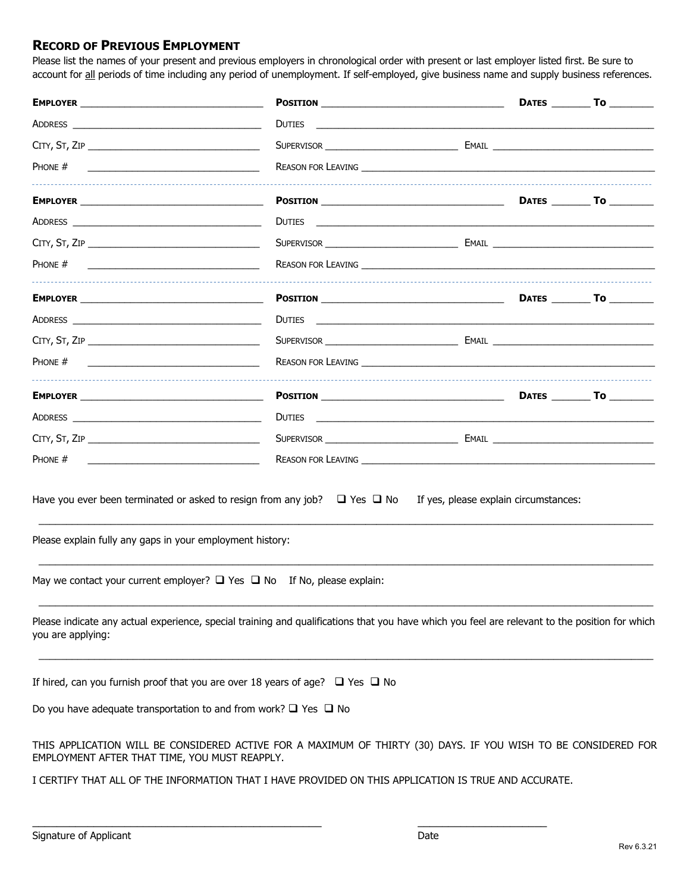## **RECORD OF PREVIOUS EMPLOYMENT**

Please list the names of your present and previous employers in chronological order with present or last employer listed first. Be sure to account for all periods of time including any period of unemployment. If self-employed, give business name and supply business references.

| <b>EMPLOYER EMPLOYER</b>                                                                                                                                            |                                                                      |                                       |                                  |
|---------------------------------------------------------------------------------------------------------------------------------------------------------------------|----------------------------------------------------------------------|---------------------------------------|----------------------------------|
|                                                                                                                                                                     | <b>DUTIES DUTIES</b>                                                 |                                       |                                  |
|                                                                                                                                                                     |                                                                      |                                       |                                  |
| PHONE #                                                                                                                                                             | <b>REASON FOR LEAVING THE READER OF STATE AND REASON FOR LEAVING</b> |                                       |                                  |
|                                                                                                                                                                     |                                                                      |                                       |                                  |
|                                                                                                                                                                     |                                                                      |                                       |                                  |
|                                                                                                                                                                     |                                                                      |                                       |                                  |
| PHONE #                                                                                                                                                             |                                                                      |                                       |                                  |
| <b>EMPLOYER EMPLOYER</b>                                                                                                                                            |                                                                      |                                       | DATES ___________ To ___________ |
|                                                                                                                                                                     |                                                                      |                                       |                                  |
| CITY, ST, ZIP                                                                                                                                                       |                                                                      |                                       |                                  |
| Phone $#$<br><u> 1999 - Johann John Harry Harry Harry Harry Harry Harry Harry Harry Harry Harry Harry Harry Harry Harry Harry H</u>                                 |                                                                      |                                       |                                  |
|                                                                                                                                                                     |                                                                      |                                       | DATES To                         |
|                                                                                                                                                                     |                                                                      |                                       |                                  |
| CITY, ST, ZIP                                                                                                                                                       |                                                                      |                                       |                                  |
| PHONE #<br><u> 1990 - Johann Barbara, martin amerikan ba</u>                                                                                                        |                                                                      |                                       |                                  |
| Have you ever been terminated or asked to resign from any job? $\Box$ Yes $\Box$ No                                                                                 |                                                                      | If yes, please explain circumstances: |                                  |
| Please explain fully any gaps in your employment history:                                                                                                           |                                                                      |                                       |                                  |
| May we contact your current employer? $\Box$ Yes $\Box$ No If No, please explain:                                                                                   |                                                                      |                                       |                                  |
| Please indicate any actual experience, special training and qualifications that you have which you feel are relevant to the position for which<br>you are applying: |                                                                      |                                       |                                  |
| If hired, can you furnish proof that you are over 18 years of age? $\Box$ Yes $\Box$ No                                                                             |                                                                      |                                       |                                  |
| Do you have adequate transportation to and from work? $\Box$ Yes $\Box$ No                                                                                          |                                                                      |                                       |                                  |
| THIS APPLICATION WILL BE CONSIDERED ACTIVE FOR A MAXIMUM OF THIRTY (30) DAYS. IF YOU WISH TO BE CONSIDERED FOR<br>EMPLOYMENT AFTER THAT TIME, YOU MUST REAPPLY.     |                                                                      |                                       |                                  |

I CERTIFY THAT ALL OF THE INFORMATION THAT I HAVE PROVIDED ON THIS APPLICATION IS TRUE AND ACCURATE.

\_\_\_\_\_\_\_\_\_\_\_\_\_\_\_\_\_\_\_\_\_\_\_\_\_\_\_\_\_\_\_\_\_\_\_\_\_\_\_\_\_\_\_\_\_\_\_ \_\_\_\_\_\_\_\_\_\_\_\_\_\_\_\_\_\_\_\_\_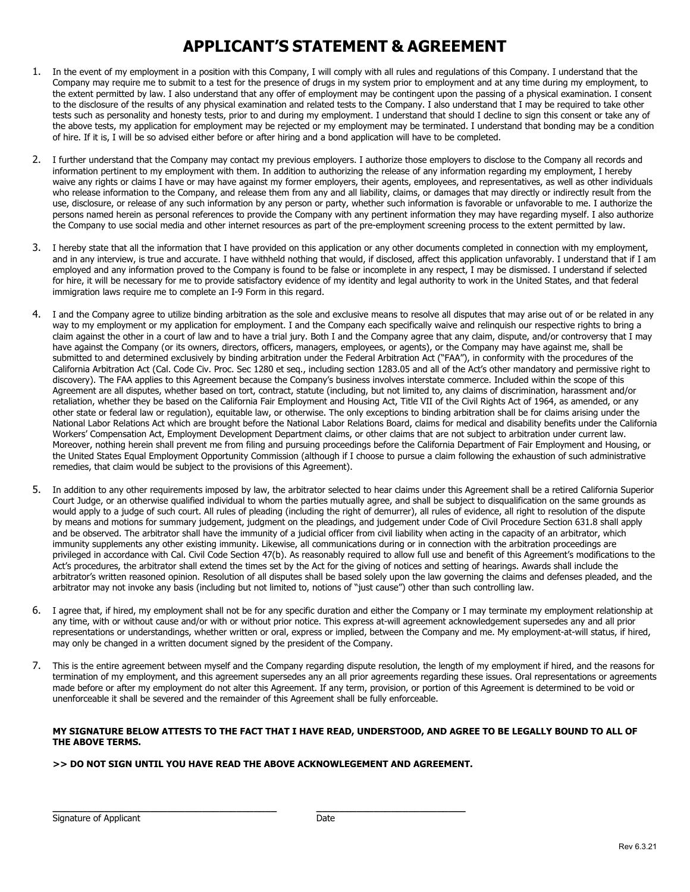## **APPLICANT'S STATEMENT & AGREEMENT**

- 1. In the event of my employment in a position with this Company, I will comply with all rules and regulations of this Company. I understand that the Company may require me to submit to a test for the presence of drugs in my system prior to employment and at any time during my employment, to the extent permitted by law. I also understand that any offer of employment may be contingent upon the passing of a physical examination. I consent to the disclosure of the results of any physical examination and related tests to the Company. I also understand that I may be required to take other tests such as personality and honesty tests, prior to and during my employment. I understand that should I decline to sign this consent or take any of the above tests, my application for employment may be rejected or my employment may be terminated. I understand that bonding may be a condition of hire. If it is, I will be so advised either before or after hiring and a bond application will have to be completed.
- 2. I further understand that the Company may contact my previous employers. I authorize those employers to disclose to the Company all records and information pertinent to my employment with them. In addition to authorizing the release of any information regarding my employment, I hereby waive any rights or claims I have or may have against my former employers, their agents, employees, and representatives, as well as other individuals who release information to the Company, and release them from any and all liability, claims, or damages that may directly or indirectly result from the use, disclosure, or release of any such information by any person or party, whether such information is favorable or unfavorable to me. I authorize the persons named herein as personal references to provide the Company with any pertinent information they may have regarding myself. I also authorize the Company to use social media and other internet resources as part of the pre-employment screening process to the extent permitted by law.
- 3. I hereby state that all the information that I have provided on this application or any other documents completed in connection with my employment, and in any interview, is true and accurate. I have withheld nothing that would, if disclosed, affect this application unfavorably. I understand that if I am employed and any information proved to the Company is found to be false or incomplete in any respect, I may be dismissed. I understand if selected for hire, it will be necessary for me to provide satisfactory evidence of my identity and legal authority to work in the United States, and that federal immigration laws require me to complete an I-9 Form in this regard.
- 4. I and the Company agree to utilize binding arbitration as the sole and exclusive means to resolve all disputes that may arise out of or be related in any way to my employment or my application for employment. I and the Company each specifically waive and relinquish our respective rights to bring a claim against the other in a court of law and to have a trial jury. Both I and the Company agree that any claim, dispute, and/or controversy that I may have against the Company (or its owners, directors, officers, managers, employees, or agents), or the Company may have against me, shall be submitted to and determined exclusively by binding arbitration under the Federal Arbitration Act ("FAA"), in conformity with the procedures of the California Arbitration Act (Cal. Code Civ. Proc. Sec 1280 et seq., including section 1283.05 and all of the Act's other mandatory and permissive right to discovery). The FAA applies to this Agreement because the Company's business involves interstate commerce. Included within the scope of this Agreement are all disputes, whether based on tort, contract, statute (including, but not limited to, any claims of discrimination, harassment and/or retaliation, whether they be based on the California Fair Employment and Housing Act, Title VII of the Civil Rights Act of 1964, as amended, or any other state or federal law or regulation), equitable law, or otherwise. The only exceptions to binding arbitration shall be for claims arising under the National Labor Relations Act which are brought before the National Labor Relations Board, claims for medical and disability benefits under the California Workers' Compensation Act, Employment Development Department claims, or other claims that are not subject to arbitration under current law. Moreover, nothing herein shall prevent me from filing and pursuing proceedings before the California Department of Fair Employment and Housing, or the United States Equal Employment Opportunity Commission (although if I choose to pursue a claim following the exhaustion of such administrative remedies, that claim would be subject to the provisions of this Agreement).
- 5. In addition to any other requirements imposed by law, the arbitrator selected to hear claims under this Agreement shall be a retired California Superior Court Judge, or an otherwise qualified individual to whom the parties mutually agree, and shall be subject to disqualification on the same grounds as would apply to a judge of such court. All rules of pleading (including the right of demurrer), all rules of evidence, all right to resolution of the dispute by means and motions for summary judgement, judgment on the pleadings, and judgement under Code of Civil Procedure Section 631.8 shall apply and be observed. The arbitrator shall have the immunity of a judicial officer from civil liability when acting in the capacity of an arbitrator, which immunity supplements any other existing immunity. Likewise, all communications during or in connection with the arbitration proceedings are privileged in accordance with Cal. Civil Code Section 47(b). As reasonably required to allow full use and benefit of this Agreement's modifications to the Act's procedures, the arbitrator shall extend the times set by the Act for the giving of notices and setting of hearings. Awards shall include the arbitrator's written reasoned opinion. Resolution of all disputes shall be based solely upon the law governing the claims and defenses pleaded, and the arbitrator may not invoke any basis (including but not limited to, notions of "just cause") other than such controlling law.
- 6. I agree that, if hired, my employment shall not be for any specific duration and either the Company or I may terminate my employment relationship at any time, with or without cause and/or with or without prior notice. This express at-will agreement acknowledgement supersedes any and all prior representations or understandings, whether written or oral, express or implied, between the Company and me. My employment-at-will status, if hired, may only be changed in a written document signed by the president of the Company.
- 7. This is the entire agreement between myself and the Company regarding dispute resolution, the length of my employment if hired, and the reasons for termination of my employment, and this agreement supersedes any an all prior agreements regarding these issues. Oral representations or agreements made before or after my employment do not alter this Agreement. If any term, provision, or portion of this Agreement is determined to be void or unenforceable it shall be severed and the remainder of this Agreement shall be fully enforceable.

#### **MY SIGNATURE BELOW ATTESTS TO THE FACT THAT I HAVE READ, UNDERSTOOD, AND AGREE TO BE LEGALLY BOUND TO ALL OF THE ABOVE TERMS.**

### **>> DO NOT SIGN UNTIL YOU HAVE READ THE ABOVE ACKNOWLEGEMENT AND AGREEMENT.**

**\_\_\_\_\_\_\_\_\_\_\_\_\_\_\_\_\_\_\_\_\_\_\_\_\_\_\_\_\_\_\_\_\_\_\_\_\_\_\_ \_\_\_\_\_\_\_\_\_\_\_\_\_\_\_\_\_\_\_\_\_\_\_\_\_\_**